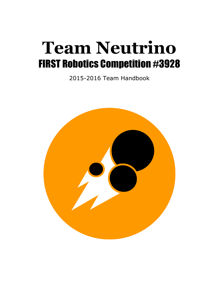# **Team Neutrino** FIRST Robotics Competition #3928

2015-2016 Team Handbook

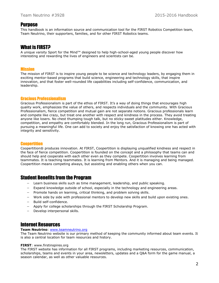## **Purpose**

This handbook is an information source and communication tool for the FIRST Robotics Competition team, Team Neutrino, their supporters, families, and for other FIRST Robotics teams.

## What is FIRST?

A unique varsity Sport for the Mind™ designed to help high-school-aged young people discover how interesting and rewarding the lives of engineers and scientists can be.

## Mission

The mission of FIRST is to inspire young people to be science and technology leaders, by engaging them in exciting mentor-based programs that build science, engineering and technology skills, that inspire innovation, and that foster well-rounded life capabilities including self-confidence, communication, and leadership.

## Gracious Professionalism

Gracious Professionalism is part of the ethos of FIRST. It's a way of doing things that encourages high quality work, emphasizes the value of others, and respects individuals and the community. With Gracious Professionalism, fierce competition and mutual gain are not separate notions. Gracious professionals learn and compete like crazy, but treat one another with respect and kindness in the process. They avoid treating anyone like losers. No chest thumping tough talk, but no sticky-sweet platitudes either. Knowledge, competition, and empathy are comfortably blended. In the long run, Gracious Professionalism is part of pursuing a meaningful life. One can add to society and enjoy the satisfaction of knowing one has acted with integrity and sensitivity.

## **Coopertition**

Coopertition® produces innovation. At FIRST, Coopertition is displaying unqualified kindness and respect in the face of fierce competition. Coopertition is founded on the concept and a philosophy that teams can and should help and cooperate with each other even as they compete. Coopertition involves learning from teammates. It is teaching teammates. It is learning from Mentors. And it is managing and being managed. Coopertition means competing always, but assisting and enabling others when you can.

## Student Benefits from the Program

- Learn business skills such as time management, leadership, and public speaking.
- $-$  Expand knowledge outside of school, especially in the technology and engineering areas.
- Promote hands on learning, critical thinking, and problem solving skills.
- Work side by side with professional mentors to develop new skills and build upon existing ones.
- Build self-confidence.
- Apply for college scholarships through the FIRST Scholarship Program.
- Develop interpersonal skills.

## Internet Resources

## **Team Neutrino**: [www.teamneutrino.org](http://www.teamneutrino.org/)

The Team Neutrino website is our primary method of keeping the community informed about team events. It is also a central location for team resources and history.

#### **FIRST**: www.firstinspires.org

The FIRST website has information for all FIRST programs, including marketing resources, communication, scholarships, teams and events in your area, newsletters, updates and a Q&A form for the game manual, a season calendar, as well as other valuable resources.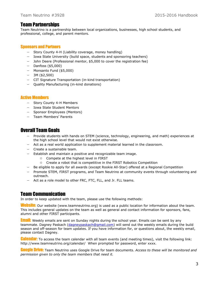# Team Partnerships

Team Neutrino is a partnership between local organizations, businesses, high school students, and professional, college, and parent mentors.

## Sponsors and Partners

- Story County 4-H (Liability coverage, money handling)
- Iowa State University (build space, students and sponsoring teachers)
- John Deere (Professional mentor, \$5,000 to cover the registration fee)
- $-$  Danfoss (\$5,000)
- Monsanto Fund (\$5,000)
- $-3M($ \$2,500)
- CIT Signature Transportation (in-kind transportation)
- Quality Manufacturing (in-kind donations)

## Active Members

- Story County 4-H Members
- Iowa State Student Mentors
- Sponsor Employees (Mentors)
- Team Members' Parents

# Overall Team Goals

- Provide students with hands on STEM (science, technology, engineering, and math) experiences at the high school level that would not exist otherwise.
- Act as a real world application to supplement material learned in the classroom.
- Create a sustainable team.
- Establish and maintain a positive and recognizable team image.
	- Compete at the highest level in FIRST
	- Create a robot that is competitive in the FIRST Robotics Competition
- Be eligible to apply for all awards (except Rookie All-Star) offered at a Regional Competition
- Promote STEM, FIRST programs, and Team Neutrino at community events through volunteering and outreach.
- Act as a role model to other FRC, FTC, FLL, and Jr. FLL teams.

## Team Communication

In order to keep updated with the team, please use the following methods:

**Website:** Our website (www.teamneutrino.org) is used as a public location for information about the team. This includes general updates on the team as well as general and contact information for sponsors, fans, alumni and other FIRST participants.

**Email:** Weekly emails are sent on Sunday nights during the school year. Emails can be sent by any teammate. Dagney Paskach [\(dagneypaskach@gmail.com\)](mailto:dagneypaskach@gmail.com) will send out the weekly emails during the build season and off-season for team updates. If you have information for, or questions about, the weekly email, please contact Dagney.

**Calendar:** To access the team calendar with all team events (and meeting times), visit the following link: <http://www.teamneutrino.org/calendar/>When prompted for password, enter xxxx.

Google Drive: Team Neutrino uses Google Drive for team documents. *Access to these will be monitored and permission given to only the team members that need it.*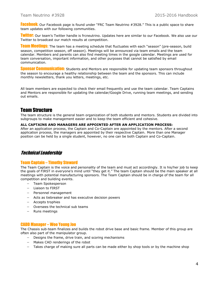Facebook: Our Facebook page is found under "FRC Team Neutrino #3928." This is a public space to share team updates with our following communities.

**Twitter:** Our team's Twitter handle is frcneutrino. Updates here are similar to our Facebook. We also use our Twitter to broadcast our match results at competition.

**Team Meetings:** The team has a meeting schedule that fluctuates with each "season" (pre-season, build season, competition season, off season). Meetings will be announced via team emails and the team calendar. Members and parents can also find meeting times in the google calendar. Meetings are used for team conversation, important information, and other purposes that cannot be satisfied by email communication.

**Sponsor Communication:** Students and Mentors are responsible for updating team sponsors throughout the season to encourage a healthy relationship between the team and the sponsors. This can include monthly newsletters, thank you letters, meetings, etc.

All team members are expected to check their email frequently and use the team calendar. Team Captains and Mentors are responsible for updating the calendar/Google Drive, running team meetings, and sending out emails.

# Team Structure

The team structure is the general team organization of both students and mentors. Students are divided into subgroups to make management easier and to keep the team efficient and cohesive.

#### **ALL CAPTAINS AND MANAGERS ARE APPOINTED AFTER AN APPLICATION PROCESS:**

After an application process, the Captain and Co-Captain are appointed by the mentors. After a second application process, the managers are appointed by their respective Captain. More than one Manager position can be held by a single student, however, no one can be both Captain and Co-Captain.

## Technical Leadership

#### Team Captain – Timothy Steward

The Team Captain is the voice and personality of the team and must act accordingly. It is his/her job to keep the goals of FIRST in everyone's mind until "they get it." The team Captain should be the main speaker at all meetings with potential manufacturing sponsors. The Team Captain should be in charge of the team for all competition and building events.

- Team Spokesperson
- Liaison to FIRST
- Personnel management
- Acts as tiebreaker and has executive decision powers
- Accepts trophies
- Oversees the technical sub teams
- Runs meetings

#### CADD Manager – Woo Young Joo

The Chassis sub-team finalizes and builds the robot drive base and basic frame. Member of this group are often also part of the manipulator group.

- Designs the frame, drive train, and scoring mechanisms
- Makes CAD renderings of the robot
- Takes charge of making sure all parts can be made either by shop tools or by the machine shop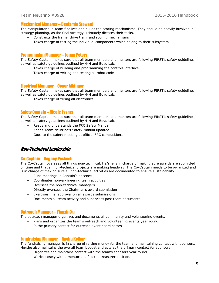#### Mechanical Manager – Benjamin Steward

The Manipulator sub-team finalizes and builds the scoring mechanisms. They should be heavily involved in strategy planning, as the final strategy ultimately dictates their tasks.

- Constructs the frame, drive train, and scoring mechanisms
- Takes charge of testing the individual components which belong to their subsystem

#### Programming Manager – Logan Peters

The Safety Captain makes sure that all team members and mentors are following FIRST's safety guidelines, as well as safety guidelines outlined by 4-H and Boyd Lab.

- $-$  Takes charge of building and programming the controls interface
- Takes charge of writing and testing all robot code

#### Electrical Manager – Conor Albinger

The Safety Captain makes sure that all team members and mentors are following FIRST's safety guidelines, as well as safety guidelines outlined by 4-H and Boyd Lab.

- Takes charge of wiring all electronics

#### Safety Captain – Nicole Essner

The Safety Captain makes sure that all team members and mentors are following FIRST's safety guidelines, as well as safety guidelines outlined by 4-H and Boyd Lab.

- Reads and understands the FRC Safety Manual
- Keeps Team Neutrino's Safety Manual updated
- Goes to the safety meeting at official FRC competitions

## Non-Technical Leadership

#### Co-Captain – Dagney Paskach

The Co-Captain oversees all things non-technical. He/she is in charge of making sure awards are submitted on time and that all non-technical projects are making headway. The Co-Captain needs to be organized and is in charge of making sure all non-technical activities are documented to ensure sustainability.

- Runs meetings in Captain's absence
- Coordinates non-engineering team activities
- Oversees the non-technical managers
- Directly oversees the Chairman's award submission
- Exercises final approval on all awards submissions
- Documents all team activity and supervises past team documents

## Outreach Manager – Tianxin Xu

The outreach manager organizes and documents all community and volunteering events.

- Plans and organizes the team's outreach and volunteering events year round
- Is the primary contact for outreach event coordinators

#### Fundraising Manager – Rucha Kelkar

The fundraising manager is in charge of raising money for the team and maintaining contact with sponsors. He/she also maintains the overall team budget and acts as the primary contact for sponsors.

- Organizes and maintains contact with the team's sponsors year round
- Works closely with a mentor and fills the treasurer position.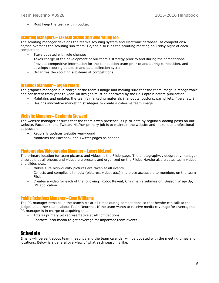- Must keep the team within budget

## Scouting Managers – Takeshi Suzuki and Woo Young Joo

The scouting manager develops the team's scouting system and electronic database; at competitions/ he/she oversees the scouting sub-team. He/she also runs the scouting meeting on Friday night of each competition.

- $-$  Stays updated with rule changes
- Takes charge of the development of our team's strategy prior to and during the competitions.
- Provides competitive information for the competition team prior to and during competition, and develops scouting database and data collection system.
- Organizes the scouting sub-team at competitions

#### Graphics Manager – Logan Peters

The graphics manager is in charge of the team's image and making sure that the team image is recognizable and consistent from year to year. All designs must be approved by the Co-Captain before publication.

- Maintains and updates the team's marketing materials (handouts, buttons, pamphlets, flyers, etc.)
- $-$  Designs innovative marketing strategies to create a cohesive team image

#### Website Manager – Benjamin Steward

The website manager ensures that the team's web presence is up-to-date by regularly adding posts on our website, Facebook, and Twitter. His/her primary job is to maintain the website and make it as professional as possible.

- Regularly updates website year-round
- Maintains the Facebook and Twitter pages as needed

#### Photography/Videography Manager – Lucas McLeod

The primary location for team pictures and videos is the Flickr page. The photography/videography manager ensures that all photos and videos are present and organized on the Flickr. He/she also creates team videos and slideshows.

- Makes sure high-quality pictures are taken at all events
- Collects and compiles all media (pictures, video, etc.) in a place accessible to members on the team Flickr
- Creates a video for each of the following: Robot Reveal, Chairman's submission, Season Wrap-Up, IRI application

#### Public Relations Manager – Evan Williams

The PR manager remains in the team's pit at all times during competitions so that he/she can talk to the judges and other teams about Team Neutrino. If the team wants to receive media coverage for events, the PR manager is in charge of acquiring this.

- Acts as primary pit representative at all competitions
- Contacts local media to get coverage for important team events

## Schedule

Emails will be sent about team meetings and the team calendar will be updated with the meeting times and locations. Below is a general overview of what each season is like.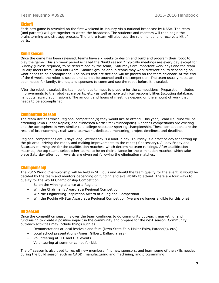## Kickoff

Each new game is revealed on the first weekend in January via a national broadcast by NASA. The team (and parents) will get together to watch the broadcast. The students and mentors will then begin the brainstorming and strategy process. The entire team will also read the rule manual and receive a kit of parts.

## Build Season

Once the game has been released, teams have six weeks to design and build and program their robot to play the game. This six week period is called the "build season." Typically meetings are every day except for Sunday (unless required, to be determined by the team). Saturdays are important work days and the team usually meets from 10am until 4pm. Smaller groups or sub teams may work different hours depending on what needs to be accomplished. The hours that are decided will be posted on the team calendar. At the end of the 6 weeks the robot is sealed and cannot be touched until the competition. The team usually hosts an open house for family, friends, and sponsors to come and see the robot before it is sealed.

After the robot is sealed, the team continues to meet to prepare for the competitions. Preparation includes improvements to the robot (spare parts, etc.) as well as non-technical responsibilities (scouting database, handouts, award submissions). The amount and hours of meetings depend on the amount of work that needs to be accomplished.

#### Competition Season

The team decides which Regional competition(s) they would like to attend. This year, Team Neutrino will be attending Iowa (Cedar Rapids) and Minnesota North Star (Minneapolis). Robotics competitions are exciting and the atmosphere is very similar to a college spectator sporting championship. These competitions are the result of brainstorming, real-world teamwork, dedicated mentoring, project timelines, and deadlines.

Regional competitions are 3 days long. Wednesday is a load-in day. Thursday is a practice day for setting up the pit area, driving the robot, and making improvements to the robot (if necessary). All day Friday and Saturday morning are for the qualification matches, which determine team rankings. After qualification matches, the top teams select other teams to be on their alliance for the elimination matches which take place Saturday afternoon. Awards are given out following the elimination matches.

#### **Championship**

The 2016 World Championship will be held in St. Louis and should the team qualify for the event, it would be decided by the team and mentors depending on funding and availability to attend. There are four ways to quality for the World Championship Competition.

- $-$  Be on the winning alliance at a Regional
- Win the Chairman's Award at a Regional Competition
- Win the Engineering Inspiration Award at a Regional Competition
- Win the Rookie All-Star Award at a Regional Competition (we are no longer eligible for this one)

#### Off Season

Once the competition season is over the team continues to do community outreach, marketing, and fundraising to create a positive impact in the community and prepare for the next season. Community outreach activities may include things such as:

- Demonstrations at local festivals and fairs (Iowa State Fair, Maker Fairs, Parade(s), etc.)
- Local school presentations (Ames, Gilbert, Ballard areas)
- Volunteering at FLL and FTC events
- Volunteering at summer camps for kids

The off season is also used to recruit new members, find new sponsors, and learn some of the skills needed during the build season such as CADD, manufacturing and machining, and programming.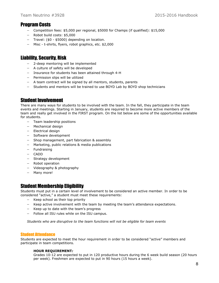# Program Costs

- Competition fees: \$5,000 per regional, \$5000 for Champs (if qualified): \$15,000
- Robot build costs: \$5,000
- $-$  Travel: (\$0 \$5000) depending on location.
- Misc t-shirts, flyers, robot graphics, etc. \$2,000

# Liability, Security, Risk

- 2-deep mentoring will be implemented
- A culture of safety will be developed
- Insurance for students has been attained through 4-H
- $-$  Permission slips will be utilized
- A team contract will be signed by all mentors, students, parents
- Students and mentors will be trained to use BOYD Lab by BOYD shop technicians

# Student Involvement

There are many ways for students to be involved with the team. In the fall, they participate in the team events and meetings. Starting in January, students are required to become more active members of the team and really get involved in the FIRST program. On the list below are some of the opportunities available for students.

- Team leadership positions
- Mechanical design
- $-$  Electrical design
- Software development
- Shop management, part fabrication & assembly
- Marketing, public relations & media publications
- $-$  Fundraising
- CADD
- Strategy development
- Robot operation
- Videography & photography
- Many more!

# Student Membership Eligibility

Students must put in a certain level of involvement to be considered an active member. In order to be considered "active," a student must meet these requirements:

- Keep school as their top priority
- Keep active involvement with the team by meeting the team's attendance expectations.
- Keep up to date with the team's progress
- Follow all ISU rules while on the ISU campus.

*Students who are disruptive to the team functions will not be eligible for team events*

## Student Attendance

Students are expected to meet the hour requirement in order to be considered "active" members and participate in team competitions.

#### **HOUR REQUIREMENT***:*

Grades 10-12 are expected to put in 120 productive hours during the 6 week build season (20 hours per week). Freshmen are expected to put in 90 hours (15 hours a week).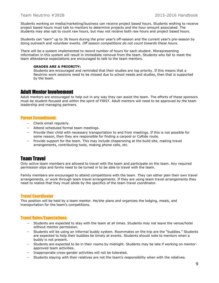Students working on media/marketing/business can receive project based hours. Students wishing to receive project based hours must talk to mentors to determine projects and the hour amount associated. The students may also opt to count raw hours, but may not receive both raw hours and project based hours.

Students can "earn" up to 36 hours during the prior year's off-season and the current year's pre-season by doing outreach and volunteer events. *Off season competitions do not count towards these hours.* 

There will be a system implemented to record number of hours for each student. Misrepresenting information in this system will result in immediate removal from the team. Students who fail to meet the team attendance expectations are encouraged to talk to the team mentors.

#### **GRADES ARE A PRIORITY:**

Students are encouraged and reminded that their studies are top priority. If this means that a Neutrino work sessions need to be missed due to school needs and studies, then that is supported by the team.

## Adult Mentor Involvement

Adult mentors are encouraged to help out in any way they can assist the team. The efforts of these sponsors must be student-focused and within the spirit of FIRST. Adult mentors will need to be approved by the team leadership and managing partners.

#### Parent Commitment:

- $-$  Check email regularly.
- Attend scheduled formal team meetings.
- Provide their child with necessary transportation to and from meetings. If this is not possible for some reason, then they are responsible for finding a carpool or CyRide route.
- $-$  Provide support for the team. This may include chaperoning at the build site, making travel arrangements, contributing tools, making phone calls, etc.

## Team Travel

Only active team members are allowed to travel with the team and participate on the team. Any required permission slips and forms need to be turned in to be able to travel with the team.

Family members are encouraged to attend competitions with the team. They can either plan their own travel arrangements, or work through team travel arrangements. If they are using team travel arrangements they need to realize that they must abide by the specifics of the team travel coordinator.

#### Travel Coordinator

This position will be held by a team mentor. He/she plans and organizes the lodging, meals, and transportation for the team's competitions.

#### Travel Rules/Expectations:

- Students are expected to stay with the team at all times. Students may not leave the venue/hotel without mentor permission.
- Students will be using an informal buddy system. Roommates on the trip are the "buddies." Students are expected to help their buddies be timely at events. Students should note to mentors when a buddy is not present.
- Students are expected to be in their rooms by midnight. Students may be late if working on mentorapproved team activities.
- Inappropriate cross-gender activities will not be tolerated.
- Students staying with their relatives are not the team's responsibility when with the relatives.